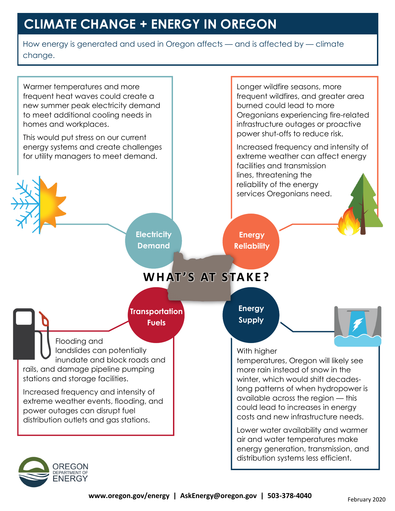## **CLIMATE CHANGE + ENERGY IN OREGON**

How energy is generated and used in Oregon affects — and is affected by — climate change.

With higher temperatures, Oregon will likely see more rain instead of snow in the winter, which would shift decadeslong patterns of when hydropower is available across the region — this could lead to increases in energy costs and new infrastructure needs. Lower water availability and warmer air and water temperatures make energy generation, transmission, and distribution systems less efficient. Longer wildfire seasons, more frequent wildfires, and greater area burned could lead to more Oregonians experiencing fire-related infrastructure outages or proactive power shut-offs to reduce risk. Increased frequency and intensity of extreme weather can affect energy facilities and transmission lines, threatening the reliability of the energy services Oregonians need. Flooding and landslides can potentially inundate and block roads and rails, and damage pipeline pumping stations and storage facilities. Increased frequency and intensity of extreme weather events, flooding, and power outages can disrupt fuel distribution outlets and gas stations. **Energy Supply Energy Reliability Transportation Fuels** Warmer temperatures and more frequent heat waves could create a new summer peak electricity demand to meet additional cooling needs in homes and workplaces. This would put stress on our current energy systems and create challenges for utility managers to meet demand. **Electricity Demand W H AT ' S AT S TA K E ?**

DREGON DEPARTMENT OF<br>ENERGY